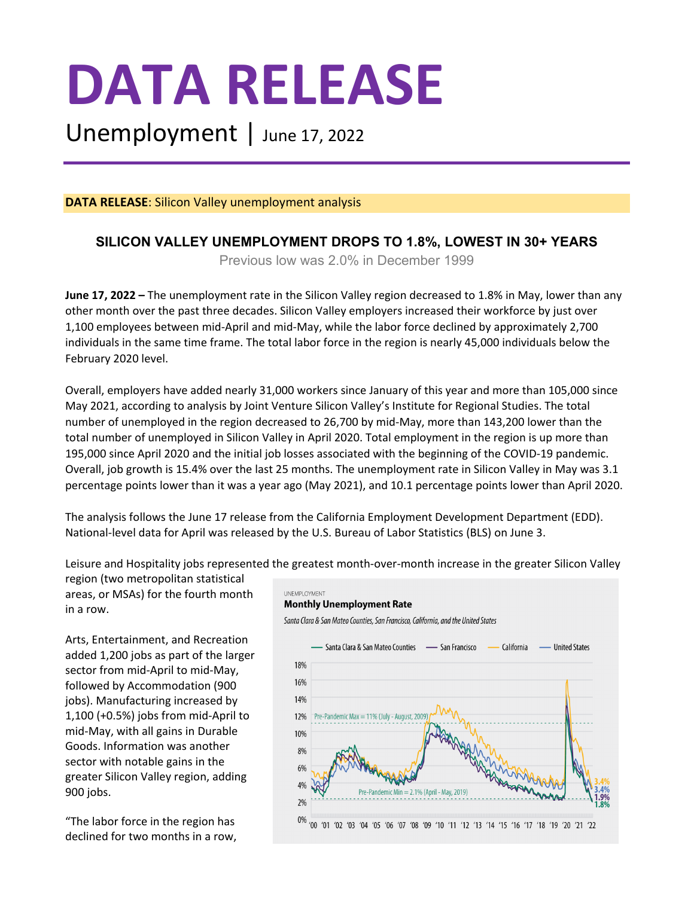# **DATA RELEASE**

Unemployment | June 17, 2022

**DATA RELEASE**: Silicon Valley unemployment analysis

# **SILICON VALLEY UNEMPLOYMENT DROPS TO 1.8%, LOWEST IN 30+ YEARS**

Previous low was 2.0% in December 1999

**June 17, 2022 –** The unemployment rate in the Silicon Valley region decreased to 1.8% in May, lower than any other month over the past three decades. Silicon Valley employers increased their workforce by just over 1,100 employees between mid-April and mid-May, while the labor force declined by approximately 2,700 individuals in the same time frame. The total labor force in the region is nearly 45,000 individuals below the February 2020 level.

Overall, employers have added nearly 31,000 workers since January of this year and more than 105,000 since May 2021, according to analysis by Joint Venture Silicon Valley's Institute for Regional Studies. The total number of unemployed in the region decreased to 26,700 by mid-May, more than 143,200 lower than the total number of unemployed in Silicon Valley in April 2020. Total employment in the region is up more than 195,000 since April 2020 and the initial job losses associated with the beginning of the COVID-19 pandemic. Overall, job growth is 15.4% over the last 25 months. The unemployment rate in Silicon Valley in May was 3.1 percentage points lower than it was a year ago (May 2021), and 10.1 percentage points lower than April 2020.

The analysis follows the June 17 release from the California Employment Development Department (EDD). National-level data for April was released by the U.S. Bureau of Labor Statistics (BLS) on June 3.

Leisure and Hospitality jobs represented the greatest month-over-month increase in the greater Silicon Valley

region (two metropolitan statistical areas, or MSAs) for the fourth month in a row.

Arts, Entertainment, and Recreation added 1,200 jobs as part of the larger sector from mid-April to mid-May, followed by Accommodation (900 jobs). Manufacturing increased by 1,100 (+0.5%) jobs from mid-April to mid-May, with all gains in Durable Goods. Information was another sector with notable gains in the greater Silicon Valley region, adding 900 jobs.

"The labor force in the region has declined for two months in a row,

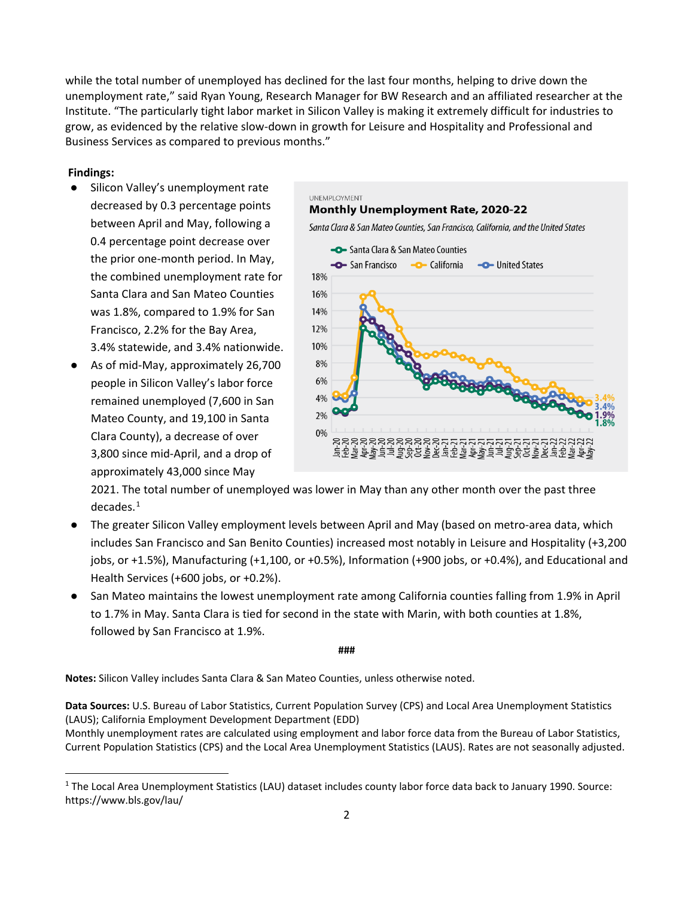while the total number of unemployed has declined for the last four months, helping to drive down the unemployment rate," said Ryan Young, Research Manager for BW Research and an affiliated researcher at the Institute. "The particularly tight labor market in Silicon Valley is making it extremely difficult for industries to grow, as evidenced by the relative slow-down in growth for Leisure and Hospitality and Professional and Business Services as compared to previous months."

## **Findings:**

 $\overline{a}$ 

- Silicon Valley's unemployment rate decreased by 0.3 percentage points between April and May, following a 0.4 percentage point decrease over the prior one-month period. In May, the combined unemployment rate for Santa Clara and San Mateo Counties was 1.8%, compared to 1.9% for San Francisco, 2.2% for the Bay Area, 3.4% statewide, and 3.4% nationwide.
- As of mid-May, approximately 26,700 people in Silicon Valley's labor force remained unemployed (7,600 in San Mateo County, and 19,100 in Santa Clara County), a decrease of over 3,800 since mid-April, and a drop of approximately 43,000 since May

UNEMPLOYMENT **Monthly Unemployment Rate, 2020-22** Santa Clara & San Mateo Counties, San Francisco, California, and the United States Santa Clara & San Mateo Counties San Francisco **California -O** United States 18% 16% 14% 12% 10% 8% 6% 4% 2% 0% <u>곁\$ 출출 대로 김정요 중 평 출출 출출 로 김정요 중 평 결정</u>

2021. The total number of unemployed was lower in May than any other month over the past three decades. [1](#page-2-0)

- The greater Silicon Valley employment levels between April and May (based on metro-area data, which includes San Francisco and San Benito Counties) increased most notably in Leisure and Hospitality (+3,200 jobs, or +1.5%), Manufacturing (+1,100, or +0.5%), Information (+900 jobs, or +0.4%), and Educational and Health Services (+600 jobs, or +0.2%).
- San Mateo maintains the lowest unemployment rate among California counties falling from 1.9% in April to 1.7% in May. Santa Clara is tied for second in the state with Marin, with both counties at 1.8%, followed by San Francisco at 1.9%.

**###**

**Notes:** Silicon Valley includes Santa Clara & San Mateo Counties, unless otherwise noted.

**Data Sources:** U.S. Bureau of Labor Statistics, Current Population Survey (CPS) and Local Area Unemployment Statistics (LAUS); California Employment Development Department (EDD)

Monthly unemployment rates are calculated using employment and labor force data from the Bureau of Labor Statistics, Current Population Statistics (CPS) and the Local Area Unemployment Statistics (LAUS). Rates are not seasonally adjusted.

 $1$  The Local Area Unemployment Statistics (LAU) dataset includes county labor force data back to January 1990. Source: https://www.bls.gov/lau/